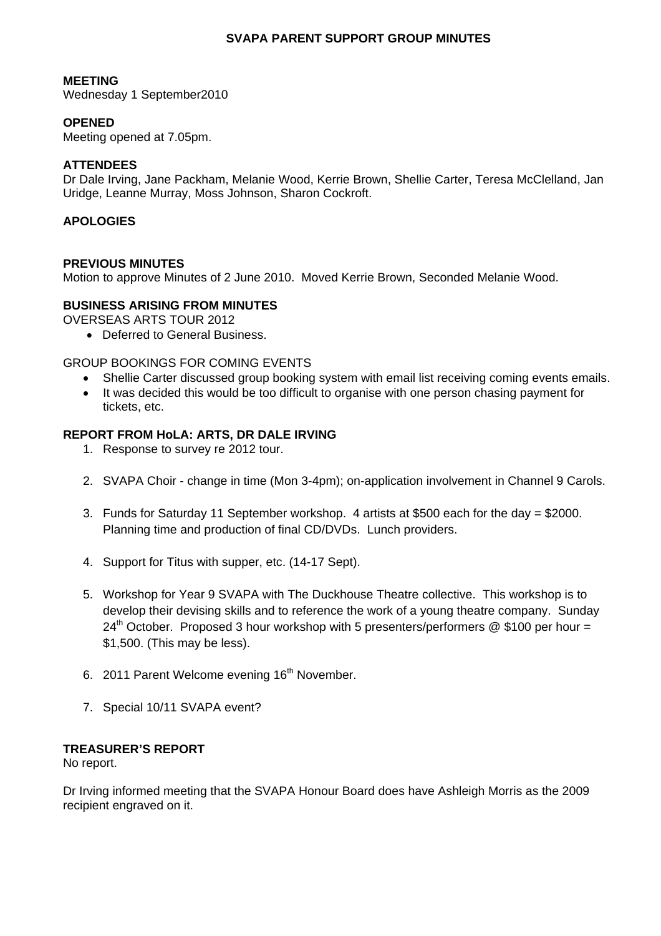### **SVAPA PARENT SUPPORT GROUP MINUTES**

### **MEETING**

Wednesday 1 September2010

# **OPENED**

Meeting opened at 7.05pm.

### **ATTENDEES**

Dr Dale Irving, Jane Packham, Melanie Wood, Kerrie Brown, Shellie Carter, Teresa McClelland, Jan Uridge, Leanne Murray, Moss Johnson, Sharon Cockroft.

### **APOLOGIES**

### **PREVIOUS MINUTES**

Motion to approve Minutes of 2 June 2010. Moved Kerrie Brown, Seconded Melanie Wood.

### **BUSINESS ARISING FROM MINUTES**

OVERSEAS ARTS TOUR 2012

• Deferred to General Business.

## GROUP BOOKINGS FOR COMING EVENTS

- Shellie Carter discussed group booking system with email list receiving coming events emails.
- It was decided this would be too difficult to organise with one person chasing payment for tickets, etc.

# **REPORT FROM HoLA: ARTS, DR DALE IRVING**

- 1. Response to survey re 2012 tour.
- 2. SVAPA Choir change in time (Mon 3-4pm); on-application involvement in Channel 9 Carols.
- 3. Funds for Saturday 11 September workshop. 4 artists at \$500 each for the day = \$2000. Planning time and production of final CD/DVDs. Lunch providers.
- 4. Support for Titus with supper, etc. (14-17 Sept).
- 5. Workshop for Year 9 SVAPA with The Duckhouse Theatre collective. This workshop is to develop their devising skills and to reference the work of a young theatre company. Sunday  $24<sup>th</sup>$  October. Proposed 3 hour workshop with 5 presenters/performers @ \$100 per hour = \$1,500. (This may be less).
- 6. 2011 Parent Welcome evening 16<sup>th</sup> November.
- 7. Special 10/11 SVAPA event?

# **TREASURER'S REPORT**

No report.

Dr Irving informed meeting that the SVAPA Honour Board does have Ashleigh Morris as the 2009 recipient engraved on it.